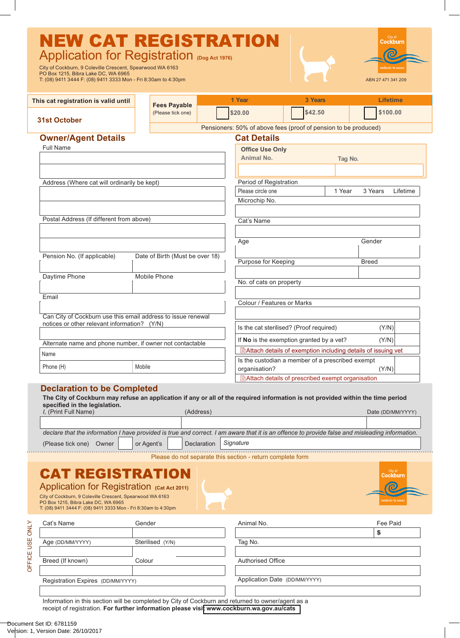| <b>NEW CAT REGISTRATION</b><br>Application for Registration (Dog Act 1976)<br>City of Cockburn, 9 Coleville Crescent, Spearwood WA 6163<br>PO Box 1215, Bibra Lake DC, WA 6965<br>T: (08) 9411 3444 F: (08) 9411 3333 Mon - Fri 8:30am to 4:30pm |                                          |                                                                 |                                                                      |         | Cockburn<br>vetlands to wave<br>ABN 27 471 341 209 |  |
|--------------------------------------------------------------------------------------------------------------------------------------------------------------------------------------------------------------------------------------------------|------------------------------------------|-----------------------------------------------------------------|----------------------------------------------------------------------|---------|----------------------------------------------------|--|
| This cat registration is valid until                                                                                                                                                                                                             |                                          | 1 Year                                                          | 3 Years                                                              |         | <b>Lifetime</b>                                    |  |
|                                                                                                                                                                                                                                                  | <b>Fees Payable</b><br>(Please tick one) | \$20.00                                                         | \$42.50                                                              |         | \$100.00                                           |  |
| 31st October                                                                                                                                                                                                                                     |                                          | Pensioners: 50% of above fees (proof of pension to be produced) |                                                                      |         |                                                    |  |
| <b>Owner/Agent Details</b>                                                                                                                                                                                                                       |                                          | <b>Cat Details</b>                                              |                                                                      |         |                                                    |  |
| <b>Full Name</b>                                                                                                                                                                                                                                 |                                          | <b>Office Use Only</b>                                          |                                                                      |         |                                                    |  |
|                                                                                                                                                                                                                                                  |                                          | <b>Animal No.</b>                                               |                                                                      | Tag No. |                                                    |  |
|                                                                                                                                                                                                                                                  |                                          |                                                                 |                                                                      |         |                                                    |  |
| Address (Where cat will ordinarily be kept)                                                                                                                                                                                                      |                                          | Period of Registration                                          |                                                                      |         |                                                    |  |
|                                                                                                                                                                                                                                                  |                                          | Please circle one                                               | 1 Year<br>3 Years                                                    |         | Lifetime                                           |  |
|                                                                                                                                                                                                                                                  |                                          | Microchip No.                                                   |                                                                      |         |                                                    |  |
| Postal Address (If different from above)                                                                                                                                                                                                         |                                          | Cat's Name                                                      |                                                                      |         |                                                    |  |
|                                                                                                                                                                                                                                                  |                                          | Age                                                             |                                                                      |         | Gender                                             |  |
| Pension No. (If applicable)                                                                                                                                                                                                                      | Date of Birth (Must be over 18)          |                                                                 | Purpose for Keeping                                                  |         | <b>Breed</b>                                       |  |
|                                                                                                                                                                                                                                                  |                                          |                                                                 |                                                                      |         |                                                    |  |
| Daytime Phone                                                                                                                                                                                                                                    | <b>Mobile Phone</b>                      |                                                                 | No. of cats on property                                              |         |                                                    |  |
|                                                                                                                                                                                                                                                  |                                          |                                                                 |                                                                      |         |                                                    |  |
| Email                                                                                                                                                                                                                                            |                                          |                                                                 | Colour / Features or Marks                                           |         |                                                    |  |
|                                                                                                                                                                                                                                                  |                                          |                                                                 |                                                                      |         |                                                    |  |
| Can City of Cockburn use this email address to issue renewal<br>notices or other relevant information? (Y/N)                                                                                                                                     |                                          | Is the cat sterilised? (Proof required)                         |                                                                      |         | (Y/N)                                              |  |
|                                                                                                                                                                                                                                                  |                                          | If No is the exemption granted by a vet?                        |                                                                      |         | (Y/N)                                              |  |
| Alternate name and phone number, if owner not contactable                                                                                                                                                                                        |                                          |                                                                 | <b>■Attach details of exemption including details of issuing vet</b> |         |                                                    |  |
| Name                                                                                                                                                                                                                                             |                                          |                                                                 | Is the custodian a member of a prescribed exempt                     |         |                                                    |  |
| Phone (H)                                                                                                                                                                                                                                        | Mobile                                   | organisation?                                                   |                                                                      |         | (Y/N)                                              |  |
|                                                                                                                                                                                                                                                  |                                          | 图Attach details of prescribed exempt organisation               |                                                                      |         |                                                    |  |

| specified in the legislation.                                                                                                                   |                          |                   |  |
|-------------------------------------------------------------------------------------------------------------------------------------------------|--------------------------|-------------------|--|
| I. (Print Full Name)                                                                                                                            | (Address)                | Date (DD/MM/YYYY) |  |
|                                                                                                                                                 |                          |                   |  |
|                                                                                                                                                 |                          |                   |  |
| declare that the information I have provided is true and correct. I am aware that it is an offence to provide false and misleading information. |                          |                   |  |
| (Please tick one)<br>or Agent's<br>Owner                                                                                                        | Signature<br>Declaration |                   |  |

Please do not separate this section - return complete form

**Cockbur** 

## **CAT REGISTRATIO**<br>Application for Registration *(Cat Act 20*

|                                                               | Application for Registration (Cat Act 2011) |
|---------------------------------------------------------------|---------------------------------------------|
| $Cth$ , of Caakburn, O.Caloville Crossopt, Crosswood MA 6469. |                                             |

City of Cockburn, 9 Coleville Crescent, Spearwood WA 6163 PO Box 1215, Bibra Lake DC, WA 6965 T: (08) 9411 3444 F: (08) 9411 3333 Mon - Fri 8:30am to 4:30pm

| Cat's Name       | Gender           | Animal No.                        | Fee Paid                                                                                                                                  |
|------------------|------------------|-----------------------------------|-------------------------------------------------------------------------------------------------------------------------------------------|
|                  |                  |                                   |                                                                                                                                           |
| Age (DD/MM/YYYY) | Sterilised (Y/N) | Tag No.                           |                                                                                                                                           |
|                  |                  |                                   |                                                                                                                                           |
| Breed (If known) | Colour           | <b>Authorised Office</b>          |                                                                                                                                           |
|                  |                  |                                   |                                                                                                                                           |
|                  |                  |                                   |                                                                                                                                           |
|                  |                  |                                   |                                                                                                                                           |
|                  |                  | Registration Expires (DD/MM/YYYY) | Application Date (DD/MM/YYYY)<br>Information in this continue will be completed by Other of Ocalcheron and not repeat to cumpulaneat as a |

Information in this section will be completed by City of Cockburn and returned to owner/agent as a receipt of registration. **For further information please visi[t www.cockburn.wa.gov.au/](www.cockburn.wa.gov.au/cats)cats**